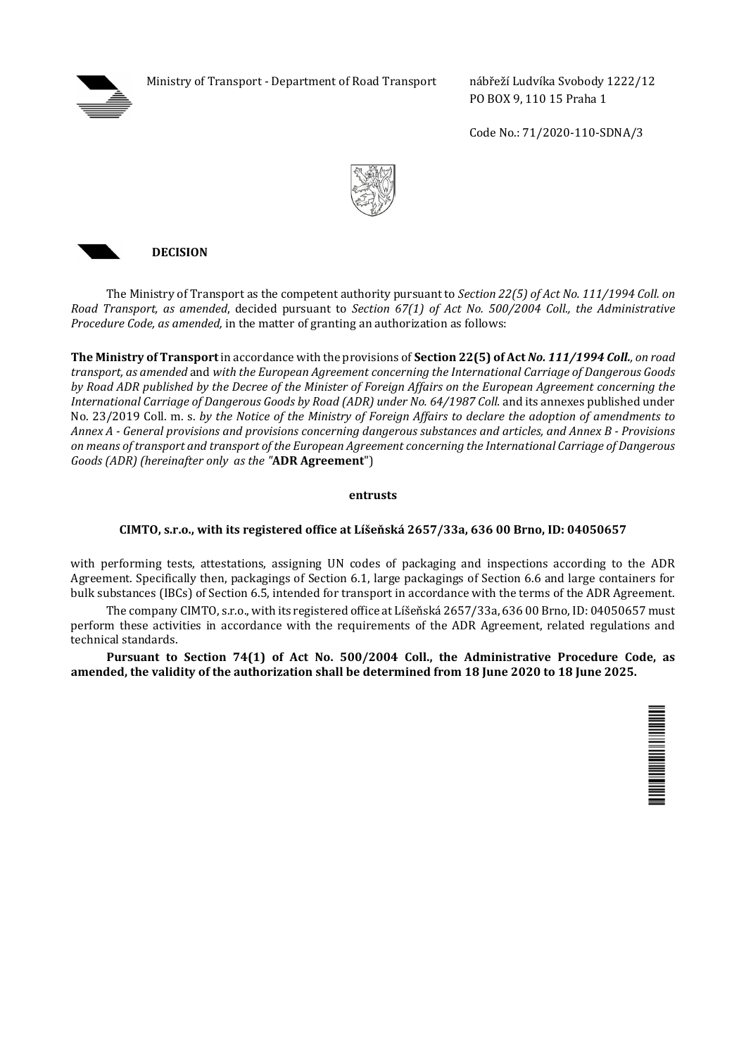

Ministry of Transport - Department of Road Transport nábřeží Ludvíka Svobody 1222/12

PO BOX 9, 110 15 Praha 1

Code No.: 71/2020-110-SDNA/3





The Ministry of Transport as the competent authority pursuant to *Section 22(5) of Act No. 111/1994 Coll. on Road Transport, as amended*, decided pursuant to *Section 67(1) of Act No. 500/2004 Coll., the Administrative Procedure Code, as amended,* in the matter of granting an authorization as follows:

**The Ministry of Transport** in accordance with the provisions of **Section 22(5) of Act** *No. 111/1994 Coll., on road transport, as amended* and *with the European Agreement concerning the International Carriage of Dangerous Goods by Road ADR published by the Decree of the Minister of Foreign Affairs on the European Agreement concerning the International Carriage of Dangerous Goods by Road (ADR) under No. 64/1987 Coll.* and its annexes published under No. 23/2019 Coll. m. s. *by the Notice of the Ministry of Foreign Affairs to declare the adoption of amendments to Annex A - General provisions and provisions concerning dangerous substances and articles, and Annex B - Provisions on means of transport and transport of the European Agreement concerning the International Carriage of Dangerous Goods (ADR) (hereinafter only as the "***ADR Agreement**")

## **entrusts**

## **CIMTO, s.r.o., with its registered office at Líšeňská 2657/33a, 636 00 Brno, ID: 04050657**

with performing tests, attestations, assigning UN codes of packaging and inspections according to the ADR Agreement. Specifically then, packagings of Section 6.1, large packagings of Section 6.6 and large containers for bulk substances (IBCs) of Section 6.5, intended for transport in accordance with the terms of the ADR Agreement.

The company CIMTO, s.r.o., with its registered office at Líšeňská 2657/33a, 636 00 Brno, ID: 04050657 must perform these activities in accordance with the requirements of the ADR Agreement, related regulations and technical standards.

**Pursuant to Section 74(1) of Act No. 500/2004 Coll., the Administrative Procedure Code, as amended, the validity of the authorization shall be determined from 18 June 2020 to 18 June 2025.**